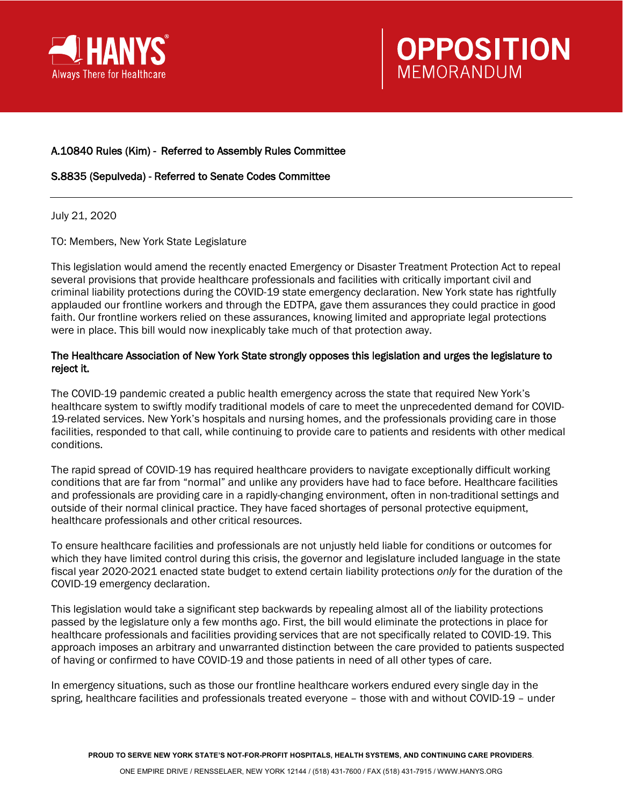



## A.10840 Rules (Kim) - Referred to Assembly Rules Committee

## S.8835 (Sepulveda) - Referred to Senate Codes Committee

July 21, 2020

TO: Members, New York State Legislature

This legislation would amend the recently enacted Emergency or Disaster Treatment Protection Act to repeal several provisions that provide healthcare professionals and facilities with critically important civil and criminal liability protections during the COVID-19 state emergency declaration. New York state has rightfully applauded our frontline workers and through the EDTPA, gave them assurances they could practice in good faith. Our frontline workers relied on these assurances, knowing limited and appropriate legal protections were in place. This bill would now inexplicably take much of that protection away.

## The Healthcare Association of New York State strongly opposes this legislation and urges the legislature to reject it.

The COVID-19 pandemic created a public health emergency across the state that required New York's healthcare system to swiftly modify traditional models of care to meet the unprecedented demand for COVID-19-related services. New York's hospitals and nursing homes, and the professionals providing care in those facilities, responded to that call, while continuing to provide care to patients and residents with other medical conditions.

The rapid spread of COVID-19 has required healthcare providers to navigate exceptionally difficult working conditions that are far from "normal" and unlike any providers have had to face before. Healthcare facilities and professionals are providing care in a rapidly-changing environment, often in non-traditional settings and outside of their normal clinical practice. They have faced shortages of personal protective equipment, healthcare professionals and other critical resources.

To ensure healthcare facilities and professionals are not unjustly held liable for conditions or outcomes for which they have limited control during this crisis, the governor and legislature included language in the state fiscal year 2020-2021 enacted state budget to extend certain liability protections *only* for the duration of the COVID-19 emergency declaration.

This legislation would take a significant step backwards by repealing almost all of the liability protections passed by the legislature only a few months ago. First, the bill would eliminate the protections in place for healthcare professionals and facilities providing services that are not specifically related to COVID-19. This approach imposes an arbitrary and unwarranted distinction between the care provided to patients suspected of having or confirmed to have COVID-19 and those patients in need of all other types of care.

In emergency situations, such as those our frontline healthcare workers endured every single day in the spring, healthcare facilities and professionals treated everyone – those with and without COVID-19 – under